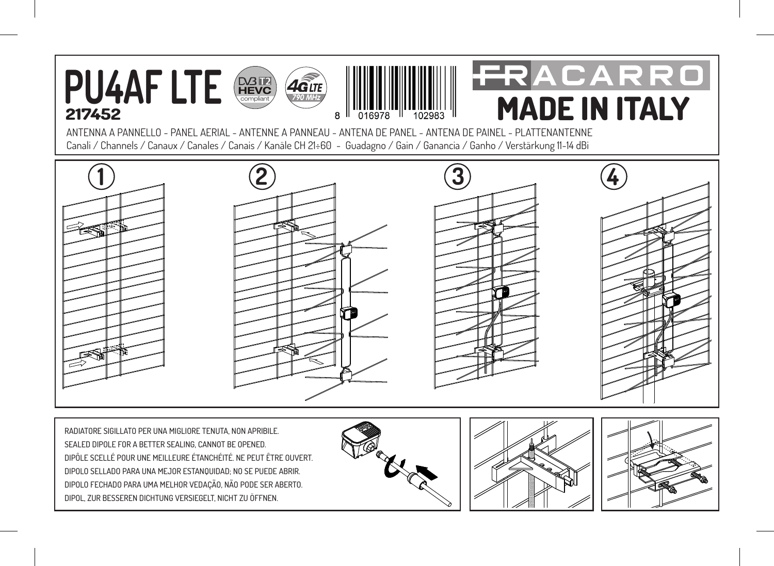

RADIATORE SIGILLATO PER UNA MIGLIORE TENUTA, NON APRIBILE. SEALED DIPOLE FOR A BETTER SEALING, CANNOT BE OPENED. DIPÔLE SCELLÉ POUR UNE MEILLEURE ÉTANCHÉITÉ. NE PEUT ÊTRE OUVERT. DIPOLO SELLADO PARA UNA MEJOR ESTANQUIDAD; NO SE PUEDE ABRIR. DIPOLO FECHADO PARA UMA MELHOR VEDAÇÃO, NÃO PODE SER ABERTO. DIPOL, ZUR BESSEREN DICHTUNG VERSIEGELT, NICHT ZU ÖFFNEN.